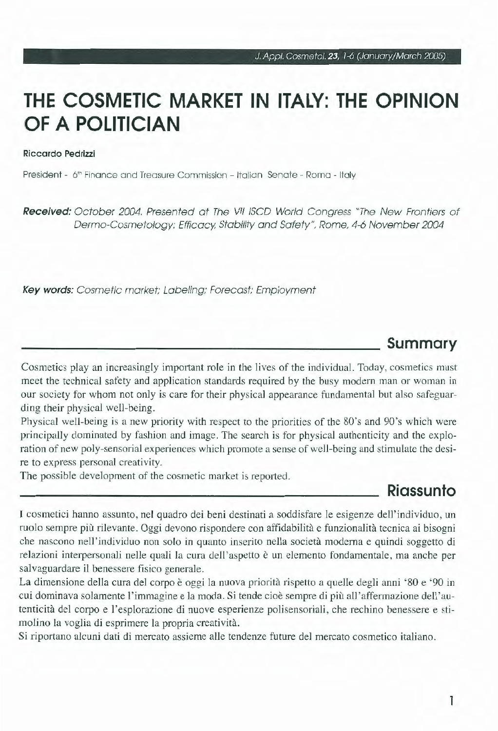# **THE COSMETIC MARKET IN ITALY: THE OPINION OF A POLITICIAN**

#### Riccardo Pedrizzi

President - 6'n Finance and Treasure Commission - ltalian Senate - Roma - ltaly

Received: October 2004. Presented at The VII ISCD World Congress "The New Frontiers of Dermo-Cosmetology: Efficacy, Stability and Safety", Rome, 4-6 November 2004

Key words: Cosmetic market; Labeling; Forecast; Employment

### **Summary**

Cosmetics play an increasingly important role in the lives of the individual. Today, cosmetics must meet the technical safety and application standards required by the busy modern man or woman in our society for whom not only is care for their physical appearance fundamental but also safeguarding their physical well-being.

Physical well-being is a new priority with respect to the priorities of the 80's and 90's which were principally dominated by fashion and image. The search is for physical authenticity and the exploration of new poly-sensorial experiences which promote a sense of well-being and stimulate the desire to express personal creativity.

The possible development of the cosmetic market is reported.

### **Riassunto**

I cosmetici hanno assunto, nel quadro dei beni destinati a soddisfare le esigenze dell ' individuo, un ruolo sempre più rilevante. Oggi devono rispondere con affidabilità e funzionalità tecnica ai bisogni che nascono nell'individuo non solo in quanto inserito nella società moderna e quindi soggetto di relazioni interpersonali nelle quali la cura dell'aspetto è un elemento fondamentale, ma anche per salvaguardare il benessere fisico generale.

La dimensione della cura del corpo è oggi la nuova priorità rispetto a quelle degli anni '80 e '90 in cui dominava solamente l'immagine e la moda. Si tende cioè sempre di più all'affermazione dell'autenticità del corpo e l 'esplorazione di nuove esperienze polisensoriali, che rechino benessere e stimolino la voglia di esprimere la propria creatività.

Si riportano alcuni dati di mercato assieme alle tendenze future del mercato cosmetico italiano.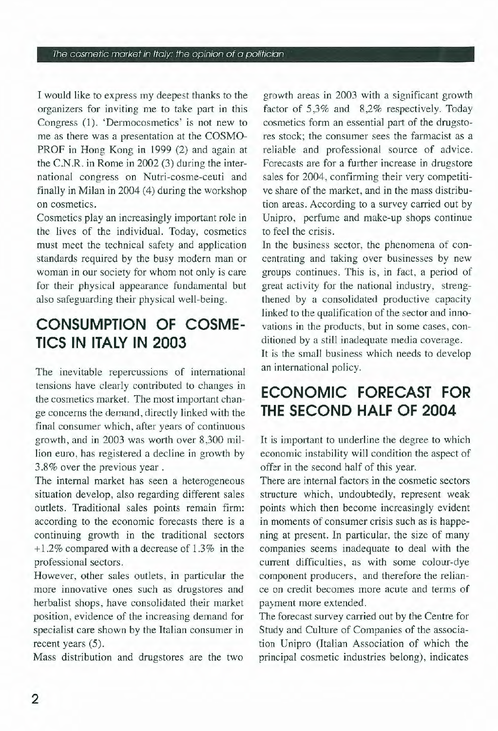#### The cosmetic market in ltaly: the opinion of a politician

I would like to express my deepest thanks to the organizers for inviting me to take part in this Congress (1). 'Dermocosmetics' is not new to me as there was a presentation at the COSMO-PROF in Hong Kong in 1999 (2) and again at the C.N.R. in Rome in 2002 (3) during the international congress on Nutri-cosme-ceuti and finally in Milan in 2004 (4) during the workshop on cosmetics.

Cosmetics play an increasingly important role in the lives of the individuai. Today, cosmetics must meet the technical safety and application standards required by the busy modem man or woman in our society for whom not only is care for their physical appearance fundamental but also safeguarding their physical well-being.

## **CONSUMPTION OF COSME-TICS IN ITALY IN 2003**

The inevitable repercussions of international tensions have clearly contributed to changes in the cosmetics market. The most important change concerns the demand, directly linked with the final consumer which, after years of continuous growth, and in 2003 was worth over 8,300 million euro, has registered a decline in growth by 3.8% over the previous year.

The internal market has seen a heterogeneous situation develop, also regarding different sales outlets. Traditional sales points remain firm: according to the economie forecasts there is a continuing growth in the traditional sectors <sup>+</sup>l.2% compared with a decrease of 1.3% in the professional sectors.

However, other sales outlets, in particular the more innovative ones such as drugstores and herbalist shops, have consolidated their market position, evidence of the increasing demand for specialist care shown by the Italian consumer in recent years (5).

Mass distribution and drugstores are the two

growth areas in 2003 with a significant growth factor of 5,3% and 8,2% respectively. Today cosmetics form an essential part of the drugstores stock; the consumer sees the farmacist as a reliable and professional source of advice. Forecasts are for a further increase in drugstore sales for 2004, confirming their very competitive share of the market, and in the mass distribution areas. According to a survey carried out by Unipro, perfume and make-up shops continue to feel the crisis.

In the business sector, the phenomena of concentrating and taking over businesses by new groups continues. This is, in fact, a period of great activity for the national industry, strengthened by a consolidated productive capacity linked to the qualification of the sector and innovations in the products, but in some cases, conditioned by a stili inadequate media coverage. It is the small business which needs to develop an international policy.

## **ECONOMIC FORECAST FOR THE SECOND HALF OF 2004**

It is important to underline the degree to which economic instability will condition the aspect of offer in the second half of this year.

There are internal factors in the cosmetic sectors structure which, undoubtedly, represent weak points which then become increasingly evident in moments of consumer crisis such as is happening at present. In particular, the size of many companies seems inadeguate to dea! with the current difficulties, as with some colour-dye component producers, and therefore the reliance on credit becomes more acute and terms of payment more extended.

The forecast survey carried out by the Centre for Study and Culture of Companies of the association Unipro (ltalian Association of which the principal cosmetic industries belong), indicates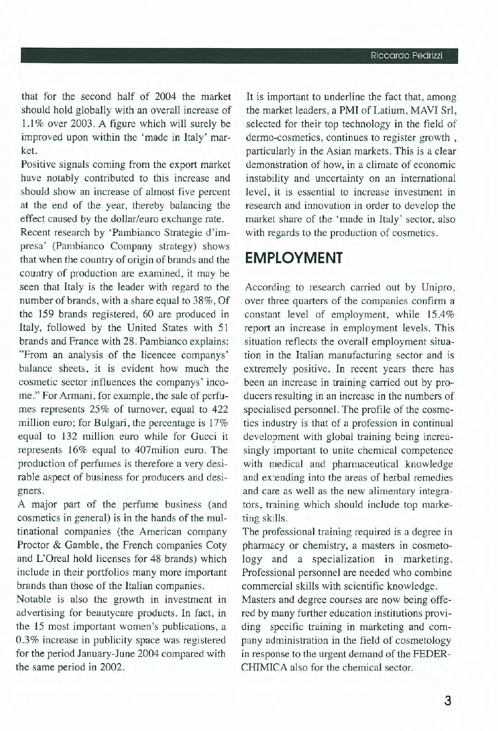that for the second half of 2004 the market should hold globally with an overall increase of 1.1 % over 2003. A figure which will surely be improved upon within the 'made in Italy' market.

Positive signals coming from the export market have notably contributed to this increase and should show an increase of almost five percent at the end of the year, thereby balancing the effect caused by the dollar/euro exchange rate.

Recent research by 'Pambianco Strategie d'impresa' (Pambianco Company strategy) shows that when the country of origin of brands and the country of production are examined, it may be seen that Italy is the leader with regard to the number of brands, with a share equal to 38%, Of the 159 brands registered, 60 are produced in Italy, followed by the United States with 51 brands and France with 28. Pambianco explains: "From an analysis of the licencee companys' balance sheets, it is evident how much the cosmetic sector influences the companys' income." For Armani, for example, the sale of perfumes represents 25% of turnover, equal to 422 million euro; for Bulgari, the percentage is  $17%$ equa! to 132 million euro while for Gucci it represents 16% equal to 407milion euro. The production of perfumes is therefore a very desirable aspect of business for producers and designers.

A major part of the perfume business (and cosmetics in generai) is in the hands of the multinational companies (the American company Proctor & Gamble, the French companies Coty and L'Oreal hold licenses for 48 brands) which include in their portfolios many more important brands than those of the Italian companies.

Notable is also the growth in investment in advertising for beautycare products. In fact, in the 15 most important women's publications, a 0.3% increase in publicity space was registered for the period January-June 2004 compared with the same period in 2002.

It is important to underline the fact that, among the market leaders, a PMI of Latium, MAVI Sri, selected for their top technology in the field of dermo-cosmetics, continues to register growth , particularly in the Asian markets. This is a clear demonstration of how, in a climate of economie instability and uncertainty on an international leve!, it is essential to increase investment in research and innovation in order to develop the market share of the 'made in Italy' sector, also with regards to the production of cosmetics.

### **EMPLOYMENT**

According to research carried out by Unipro, over three quarters of the companies confirm a constant level of employment, while 15.4% report an increase in employment levels. This situation reflects the overall employment situation in the Italian manufacturing sector and is extremely positive. In recent years there has been an increase in training carried out by producers resulting in an increase in the numbers of specialised personnel. The profile of the cosmetics industry is that of a profession in continuai development with global training being increasingly important to unite chemical competence with medical and pharmaceutical knowledge and extending into the areas of herbal remedies and care as well as the new alimentary integrators, training which should include top marketing skills.

The professional training required is a degree in pharmacy or chemistry, a masters in cosmetology and a specialization in marketing. Professional personnel are needed who combine commerciai skills with scientific knowledge.

Masters and degree courses are now being offered by many further education institutions providing specific training in marketing and company administration in the field of cosmetology in response to the urgent demand of the FEDER-CHIMICA also for the chemical sector.